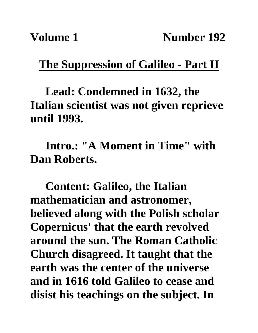## **The Suppression of Galileo - Part II**

**Lead: Condemned in 1632, the Italian scientist was not given reprieve until 1993.**

**Intro.: "A Moment in Time" with Dan Roberts.**

**Content: Galileo, the Italian mathematician and astronomer, believed along with the Polish scholar Copernicus' that the earth revolved around the sun. The Roman Catholic Church disagreed. It taught that the earth was the center of the universe and in 1616 told Galileo to cease and disist his teachings on the subject. In**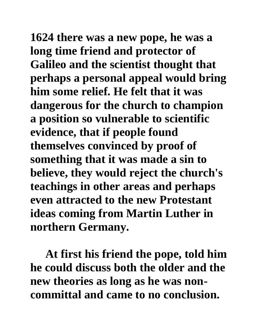**1624 there was a new pope, he was a long time friend and protector of Galileo and the scientist thought that perhaps a personal appeal would bring him some relief. He felt that it was dangerous for the church to champion a position so vulnerable to scientific evidence, that if people found themselves convinced by proof of something that it was made a sin to believe, they would reject the church's teachings in other areas and perhaps even attracted to the new Protestant ideas coming from Martin Luther in northern Germany.** 

**At first his friend the pope, told him he could discuss both the older and the new theories as long as he was noncommittal and came to no conclusion.**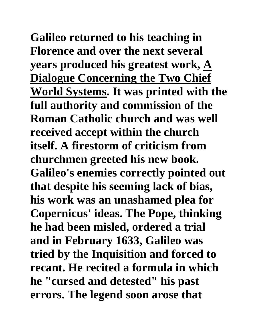**Galileo returned to his teaching in Florence and over the next several years produced his greatest work, A Dialogue Concerning the Two Chief World Systems. It was printed with the full authority and commission of the Roman Catholic church and was well received accept within the church itself. A firestorm of criticism from churchmen greeted his new book. Galileo's enemies correctly pointed out that despite his seeming lack of bias, his work was an unashamed plea for Copernicus' ideas. The Pope, thinking he had been misled, ordered a trial and in February 1633, Galileo was tried by the Inquisition and forced to recant. He recited a formula in which he "cursed and detested" his past errors. The legend soon arose that**